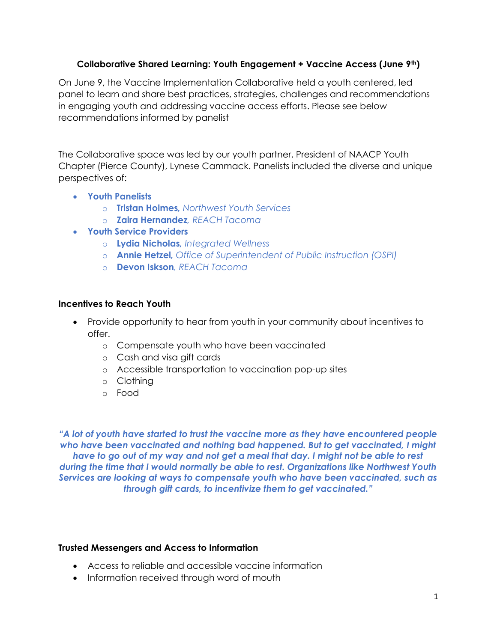# Collaborative Shared Learning: Youth Engagement + Vaccine Access (June 9th)

On June 9, the Vaccine Implementation Collaborative held a youth centered, led panel to learn and share best practices, strategies, challenges and recommendations in engaging youth and addressing vaccine access efforts. Please see below recommendations informed by panelist

The Collaborative space was led by our youth partner, President of NAACP Youth Chapter (Pierce County), Lynese Cammack. Panelists included the diverse and unique perspectives of:

- Youth Panelists
	- o Tristan Holmes, Northwest Youth Services
	- o **Zaira Hernandez**, REACH Tacoma
- Youth Service Providers
	- o Lydia Nicholas, Integrated Wellness
	- o **Annie Hetzel**, Office of Superintendent of Public Instruction (OSPI)
	- o **Devon Iskson**, REACH Tacoma

### Incentives to Reach Youth

- Provide opportunity to hear from youth in your community about incentives to offer.
	- o Compensate youth who have been vaccinated
	- o Cash and visa gift cards
	- o Accessible transportation to vaccination pop-up sites
	- o Clothing
	- o Food

"A lot of youth have started to trust the vaccine more as they have encountered people who have been vaccinated and nothing bad happened. But to get vaccinated, I might have to go out of my way and not get a meal that day. I might not be able to rest during the time that I would normally be able to rest. Organizations like Northwest Youth Services are looking at ways to compensate youth who have been vaccinated, such as through gift cards, to incentivize them to get vaccinated."

# Trusted Messengers and Access to Information

- Access to reliable and accessible vaccine information
- Information received through word of mouth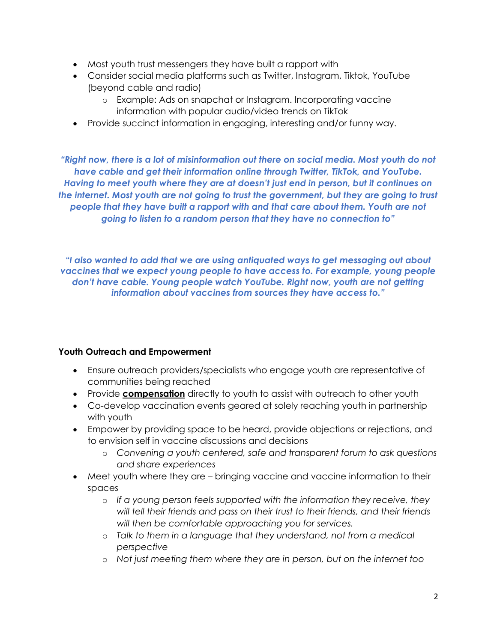- Most youth trust messengers they have built a rapport with
- Consider social media platforms such as Twitter, Instagram, Tiktok, YouTube (beyond cable and radio)
	- o Example: Ads on snapchat or Instagram. Incorporating vaccine information with popular audio/video trends on TikTok
- Provide succinct information in engaging, interesting and/or funny way.

"Right now, there is a lot of misinformation out there on social media. Most youth do not have cable and get their information online through Twitter, TikTok, and YouTube. Having to meet youth where they are at doesn't just end in person, but it continues on the internet. Most youth are not going to trust the government, but they are going to trust people that they have built a rapport with and that care about them. Youth are not going to listen to a random person that they have no connection to"

"I also wanted to add that we are using antiquated ways to get messaging out about vaccines that we expect young people to have access to. For example, young people don't have cable. Young people watch YouTube. Right now, youth are not getting information about vaccines from sources they have access to."

# Youth Outreach and Empowerment

- Ensure outreach providers/specialists who engage youth are representative of communities being reached
- Provide **compensation** directly to youth to assist with outreach to other youth
- Co-develop vaccination events geared at solely reaching youth in partnership with youth
- Empower by providing space to be heard, provide objections or rejections, and to envision self in vaccine discussions and decisions
	- o Convening a youth centered, safe and transparent forum to ask questions and share experiences
- Meet youth where they are bringing vaccine and vaccine information to their spaces
	- $\circ$  If a young person feels supported with the information they receive, they will tell their friends and pass on their trust to their friends, and their friends will then be comfortable approaching you for services.
	- o Talk to them in a language that they understand, not from a medical perspective
	- o Not just meeting them where they are in person, but on the internet too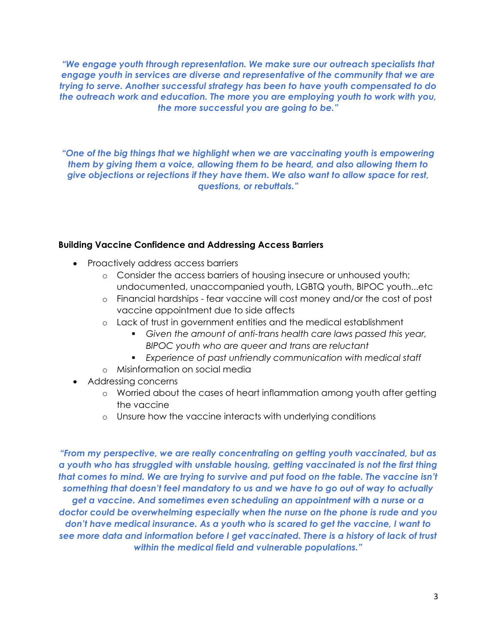"We engage youth through representation. We make sure our outreach specialists that engage youth in services are diverse and representative of the community that we are trying to serve. Another successful strategy has been to have youth compensated to do the outreach work and education. The more you are employing youth to work with you, the more successful you are going to be."

"One of the big things that we highlight when we are vaccinating youth is empowering them by giving them a voice, allowing them to be heard, and also allowing them to give objections or rejections if they have them. We also want to allow space for rest, questions, or rebuttals."

### Building Vaccine Confidence and Addressing Access Barriers

- Proactively address access barriers
	- o Consider the access barriers of housing insecure or unhoused youth; undocumented, unaccompanied youth, LGBTQ youth, BIPOC youth...etc
	- o Financial hardships fear vaccine will cost money and/or the cost of post vaccine appointment due to side affects
	- o Lack of trust in government entities and the medical establishment
		- Given the amount of anti-trans health care laws passed this year, BIPOC youth who are queer and trans are reluctant
		- Experience of past unfriendly communication with medical staff
	- o Misinformation on social media
- Addressing concerns
	- o Worried about the cases of heart inflammation among youth after getting the vaccine
	- o Unsure how the vaccine interacts with underlying conditions

"From my perspective, we are really concentrating on getting youth vaccinated, but as a youth who has struggled with unstable housing, getting vaccinated is not the first thing that comes to mind. We are trying to survive and put food on the table. The vaccine isn't something that doesn't feel mandatory to us and we have to go out of way to actually get a vaccine. And sometimes even scheduling an appointment with a nurse or a doctor could be overwhelming especially when the nurse on the phone is rude and you don't have medical insurance. As a youth who is scared to get the vaccine, I want to see more data and information before I get vaccinated. There is a history of lack of trust within the medical field and vulnerable populations."